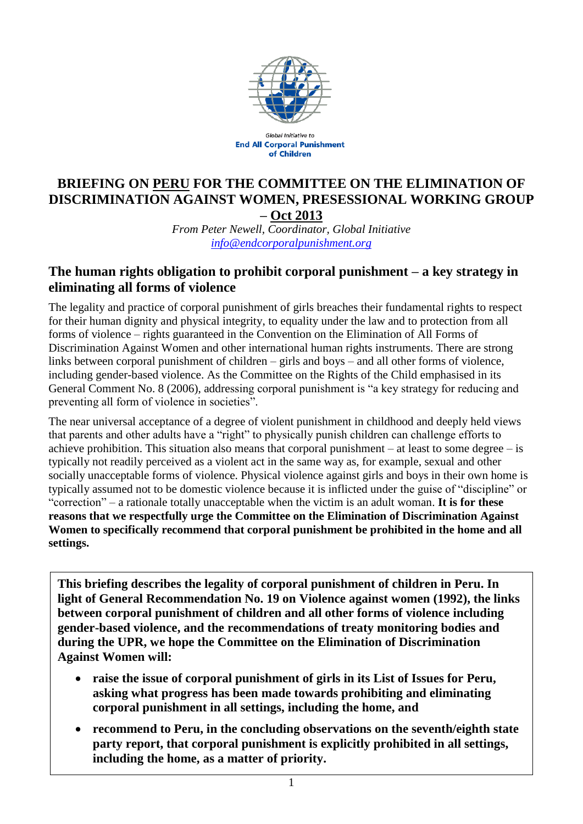

**Global Initiative to End All Corporal Punishment** of Children

### **BRIEFING ON PERU FOR THE COMMITTEE ON THE ELIMINATION OF DISCRIMINATION AGAINST WOMEN, PRESESSIONAL WORKING GROUP – Oct 2013**

*From Peter Newell, Coordinator, Global Initiative [info@endcorporalpunishment.org](mailto:info@endcorporalpunishment.org)*

### **The human rights obligation to prohibit corporal punishment – a key strategy in eliminating all forms of violence**

The legality and practice of corporal punishment of girls breaches their fundamental rights to respect for their human dignity and physical integrity, to equality under the law and to protection from all forms of violence – rights guaranteed in the Convention on the Elimination of All Forms of Discrimination Against Women and other international human rights instruments. There are strong links between corporal punishment of children – girls and boys – and all other forms of violence, including gender-based violence. As the Committee on the Rights of the Child emphasised in its General Comment No. 8 (2006), addressing corporal punishment is "a key strategy for reducing and preventing all form of violence in societies".

The near universal acceptance of a degree of violent punishment in childhood and deeply held views that parents and other adults have a "right" to physically punish children can challenge efforts to achieve prohibition. This situation also means that corporal punishment – at least to some degree – is typically not readily perceived as a violent act in the same way as, for example, sexual and other socially unacceptable forms of violence. Physical violence against girls and boys in their own home is typically assumed not to be domestic violence because it is inflicted under the guise of "discipline" or "correction" – a rationale totally unacceptable when the victim is an adult woman. **It is for these reasons that we respectfully urge the Committee on the Elimination of Discrimination Against Women to specifically recommend that corporal punishment be prohibited in the home and all settings.**

**This briefing describes the legality of corporal punishment of children in Peru. In light of General Recommendation No. 19 on Violence against women (1992), the links between corporal punishment of children and all other forms of violence including gender-based violence, and the recommendations of treaty monitoring bodies and during the UPR, we hope the Committee on the Elimination of Discrimination Against Women will:**

- **raise the issue of corporal punishment of girls in its List of Issues for Peru, asking what progress has been made towards prohibiting and eliminating corporal punishment in all settings, including the home, and**
- **recommend to Peru, in the concluding observations on the seventh/eighth state party report, that corporal punishment is explicitly prohibited in all settings, including the home, as a matter of priority.**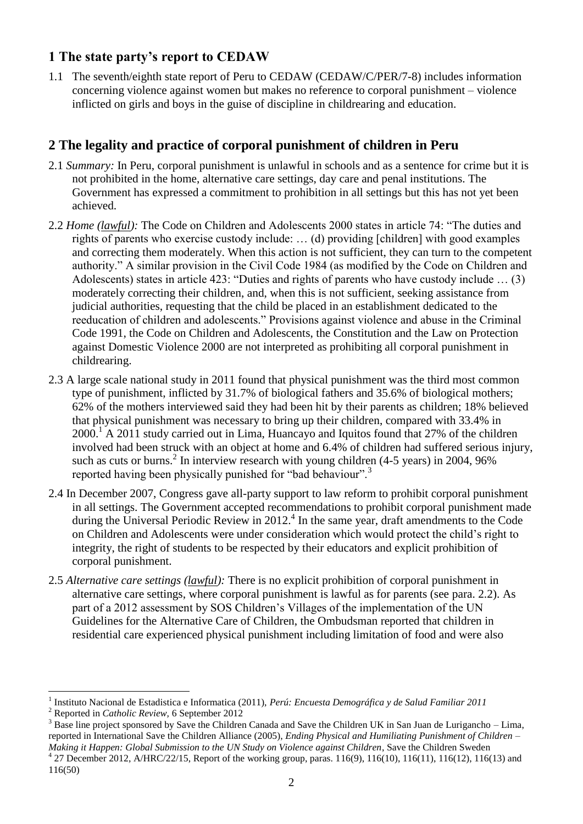# **1 The state party's report to CEDAW**

1.1 The seventh/eighth state report of Peru to CEDAW (CEDAW/C/PER/7-8) includes information concerning violence against women but makes no reference to corporal punishment – violence inflicted on girls and boys in the guise of discipline in childrearing and education.

# **2 The legality and practice of corporal punishment of children in Peru**

- 2.1 *Summary:* In Peru, corporal punishment is unlawful in schools and as a sentence for crime but it is not prohibited in the home, alternative care settings, day care and penal institutions. The Government has expressed a commitment to prohibition in all settings but this has not yet been achieved.
- 2.2 *Home (lawful):* The Code on Children and Adolescents 2000 states in article 74: "The duties and rights of parents who exercise custody include: … (d) providing [children] with good examples and correcting them moderately. When this action is not sufficient, they can turn to the competent authority." A similar provision in the Civil Code 1984 (as modified by the Code on Children and Adolescents) states in article 423: "Duties and rights of parents who have custody include … (3) moderately correcting their children, and, when this is not sufficient, seeking assistance from judicial authorities, requesting that the child be placed in an establishment dedicated to the reeducation of children and adolescents." Provisions against violence and abuse in the Criminal Code 1991, the Code on Children and Adolescents, the Constitution and the Law on Protection against Domestic Violence 2000 are not interpreted as prohibiting all corporal punishment in childrearing.
- 2.3 A large scale national study in 2011 found that physical punishment was the third most common type of punishment, inflicted by 31.7% of biological fathers and 35.6% of biological mothers; 62% of the mothers interviewed said they had been hit by their parents as children; 18% believed that physical punishment was necessary to bring up their children, compared with 33.4% in  $2000<sup>1</sup>$  A 2011 study carried out in Lima, Huancayo and Iquitos found that 27% of the children involved had been struck with an object at home and 6.4% of children had suffered serious injury, such as cuts or burns.<sup>2</sup> In interview research with young children  $(4-5 \text{ years})$  in 2004, 96% reported having been physically punished for "bad behaviour".<sup>3</sup>
- 2.4 In December 2007, Congress gave all-party support to law reform to prohibit corporal punishment in all settings. The Government accepted recommendations to prohibit corporal punishment made during the Universal Periodic Review in 2012. 4 In the same year, draft amendments to the Code on Children and Adolescents were under consideration which would protect the child's right to integrity, the right of students to be respected by their educators and explicit prohibition of corporal punishment.
- 2.5 *Alternative care settings (lawful):* There is no explicit prohibition of corporal punishment in alternative care settings, where corporal punishment is lawful as for parents (see para. 2.2). As part of a 2012 assessment by SOS Children's Villages of the implementation of the UN Guidelines for the Alternative Care of Children, the Ombudsman reported that children in residential care experienced physical punishment including limitation of food and were also

 $\overline{a}$ 

<sup>1</sup> Instituto Nacional de Estadistica e Informatica (2011), *Perú: Encuesta Demográfica y de Salud Familiar 2011*

<sup>2</sup> Reported in *Catholic Review,* 6 September 2012

<sup>&</sup>lt;sup>3</sup> Base line project sponsored by Save the Children Canada and Save the Children UK in San Juan de Lurigancho – Lima, reported in International Save the Children Alliance (2005), *Ending Physical and Humiliating Punishment of Children – Making it Happen: Global Submission to the UN Study on Violence against Children*, Save the Children Sweden  $^{4}$  27 December 2012, A/HRC/22/15, Report of the working group, paras. 116(9), 116(10), 116(11), 116(12), 116(13) and

<sup>116(50)</sup>